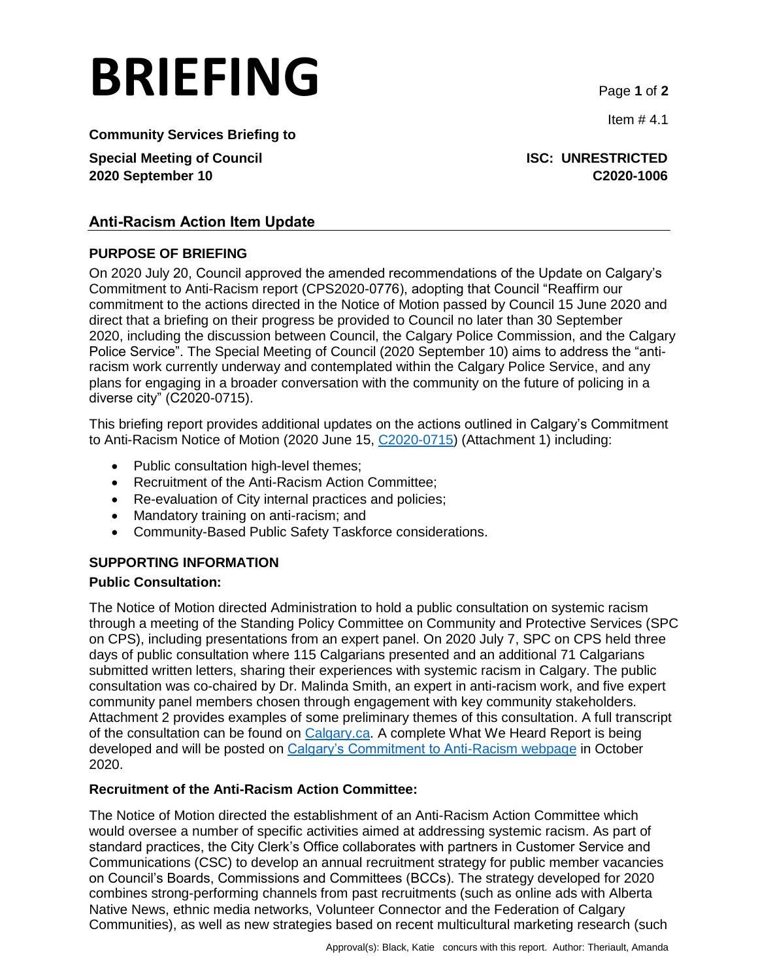# **BRIEFING** Page **<sup>1</sup>** of **<sup>2</sup>**

Item  $# 4.1$ 

**Community Services Briefing to**

**Special Meeting of Council ISC: UNRESTRICTED 2020 September 10 C2020-1006**

### **Anti-Racism Action Item Update**

### **PURPOSE OF BRIEFING**

On 2020 July 20, Council approved the amended recommendations of the Update on Calgary's Commitment to Anti-Racism report (CPS2020-0776), adopting that Council "Reaffirm our commitment to the actions directed in the Notice of Motion passed by Council 15 June 2020 and direct that a briefing on their progress be provided to Council no later than 30 September 2020, including the discussion between Council, the Calgary Police Commission, and the Calgary Police Service". The Special Meeting of Council (2020 September 10) aims to address the "antiracism work currently underway and contemplated within the Calgary Police Service, and any plans for engaging in a broader conversation with the community on the future of policing in a diverse city" (C2020-0715).

This briefing report provides additional updates on the actions outlined in Calgary's Commitment to Anti-Racism Notice of Motion (2020 June 15, [C2020-0715\)](https://pub-calgary.escribemeetings.com/FileStream.ashx?DocumentId=133415) (Attachment 1) including:

- Public consultation high-level themes;
- Recruitment of the Anti-Racism Action Committee;
- Re-evaluation of City internal practices and policies;
- Mandatory training on anti-racism; and
- Community-Based Public Safety Taskforce considerations.

### **SUPPORTING INFORMATION**

### **Public Consultation:**

The Notice of Motion directed Administration to hold a public consultation on systemic racism through a meeting of the Standing Policy Committee on Community and Protective Services (SPC on CPS), including presentations from an expert panel. On 2020 July 7, SPC on CPS held three days of public consultation where 115 Calgarians presented and an additional 71 Calgarians submitted written letters, sharing their experiences with systemic racism in Calgary. The public consultation was co-chaired by Dr. Malinda Smith, an expert in anti-racism work, and five expert community panel members chosen through engagement with key community stakeholders. Attachment 2 provides examples of some preliminary themes of this consultation. A full transcript of the consultation can be found on [Calgary.ca.](https://www.calgary.ca/csps/cns/calgarys-commitment-to-anti-racism.html) A complete What We Heard Report is being developed and will be posted on [Calgary's Commitment to Anti-Racism webpage](https://www.calgary.ca/csps/cns/calgarys-commitment-to-anti-racism.html?redirect=/anti-racism) in October 2020.

### **Recruitment of the Anti-Racism Action Committee:**

The Notice of Motion directed the establishment of an Anti-Racism Action Committee which would oversee a number of specific activities aimed at addressing systemic racism. As part of standard practices, the City Clerk's Office collaborates with partners in Customer Service and Communications (CSC) to develop an annual recruitment strategy for public member vacancies on Council's Boards, Commissions and Committees (BCCs). The strategy developed for 2020 combines strong-performing channels from past recruitments (such as online ads with Alberta Native News, ethnic media networks, Volunteer Connector and the Federation of Calgary Communities), as well as new strategies based on recent multicultural marketing research (such